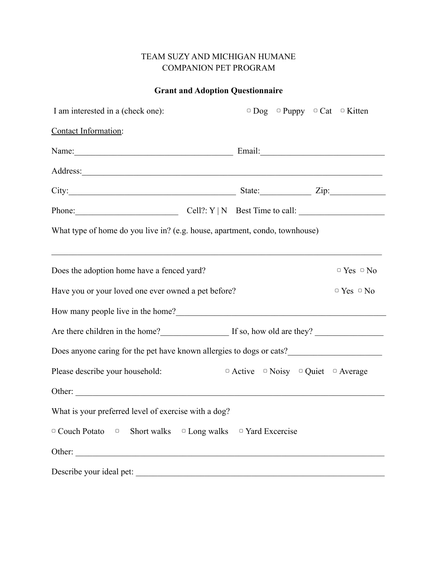## TEAM SUZY AND MICHIGAN HUMANE COMPANION PET PROGRAM

## **Grant and Adoption Questionnaire**

| I am interested in a (check one):                                                                                                                                                                                                  |  |                                                            | $\circ$ Dog $\circ$ Puppy $\circ$ Cat $\circ$ Kitten |  |                        |
|------------------------------------------------------------------------------------------------------------------------------------------------------------------------------------------------------------------------------------|--|------------------------------------------------------------|------------------------------------------------------|--|------------------------|
| Contact Information:                                                                                                                                                                                                               |  |                                                            |                                                      |  |                        |
| Name: Email: Email:                                                                                                                                                                                                                |  |                                                            |                                                      |  |                        |
|                                                                                                                                                                                                                                    |  |                                                            |                                                      |  |                        |
| City: <u>City:</u> City: 2ip:                                                                                                                                                                                                      |  |                                                            |                                                      |  |                        |
| Phone: $\qquad \qquad \qquad \qquad \qquad \text{Cell?: } Y \mid N \quad \text{Best Time to call: } \qquad \qquad \qquad \qquad \qquad \text{Cell?: } Y \mid N \quad \text{Best Time to call: } \qquad \qquad \qquad \text{Cell?}$ |  |                                                            |                                                      |  |                        |
| What type of home do you live in? (e.g. house, apartment, condo, townhouse)                                                                                                                                                        |  |                                                            |                                                      |  |                        |
|                                                                                                                                                                                                                                    |  |                                                            |                                                      |  |                        |
| Does the adoption home have a fenced yard?                                                                                                                                                                                         |  |                                                            |                                                      |  | $\circ$ Yes $\circ$ No |
| Have you or your loved one ever owned a pet before?                                                                                                                                                                                |  |                                                            |                                                      |  | $\circ$ Yes $\circ$ No |
| How many people live in the home?<br><u> </u>                                                                                                                                                                                      |  |                                                            |                                                      |  |                        |
| Are there children in the home?<br>If so, how old are they?                                                                                                                                                                        |  |                                                            |                                                      |  |                        |
| Does anyone caring for the pet have known allergies to dogs or cats?                                                                                                                                                               |  |                                                            |                                                      |  |                        |
| Please describe your household:                                                                                                                                                                                                    |  | $\circ$ Active $\circ$ Noisy $\circ$ Quiet $\circ$ Average |                                                      |  |                        |
|                                                                                                                                                                                                                                    |  |                                                            |                                                      |  |                        |
| What is your preferred level of exercise with a dog?                                                                                                                                                                               |  |                                                            |                                                      |  |                        |
| $\circ$ Couch Potato $\circ$ Short walks $\circ$ Long walks $\circ$ Yard Excercise                                                                                                                                                 |  |                                                            |                                                      |  |                        |
| Other:                                                                                                                                                                                                                             |  |                                                            |                                                      |  |                        |
| Describe your ideal pet:                                                                                                                                                                                                           |  |                                                            |                                                      |  |                        |